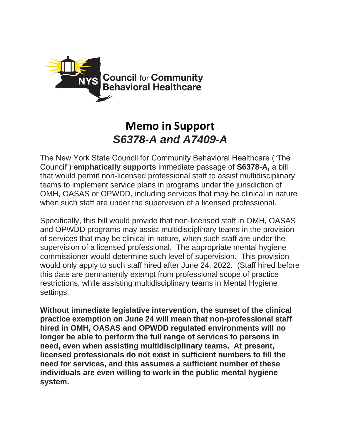

## **Memo in Support** *S6378-A and A7409-A*

The New York State Council for Community Behavioral Healthcare ("The Council") **emphatically supports** immediate passage of **S6378-A,** a bill that would permit non-licensed professional staff to assist multidisciplinary teams to implement service plans in programs under the jurisdiction of OMH, OASAS or OPWDD, including services that may be clinical in nature when such staff are under the supervision of a licensed professional.

Specifically, this bill would provide that non-licensed staff in OMH, OASAS and OPWDD programs may assist multidisciplinary teams in the provision of services that may be clinical in nature, when such staff are under the supervision of a licensed professional. The appropriate mental hygiene commissioner would determine such level of supervision. This provision would only apply to such staff hired after June 24, 2022. (Staff hired before this date are permanently exempt from professional scope of practice restrictions, while assisting multidisciplinary teams in Mental Hygiene settings.

**Without immediate legislative intervention, the sunset of the clinical practice exemption on June 24 will mean that non-professional staff hired in OMH, OASAS and OPWDD regulated environments will no longer be able to perform the full range of services to persons in need, even when assisting multidisciplinary teams. At present, licensed professionals do not exist in sufficient numbers to fill the need for services, and this assumes a sufficient number of these individuals are even willing to work in the public mental hygiene system.**